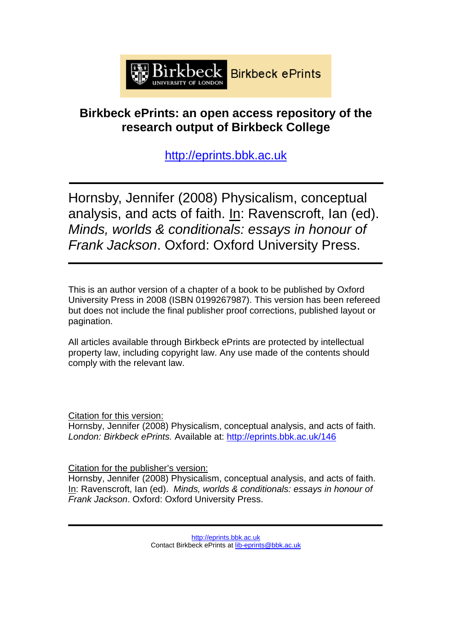

# **Birkbeck ePrints: an open access repository of the research output of Birkbeck College**

[http://eprints.bbk.ac.uk](http://eprints.bbk.ac.uk/)

Hornsby, Jennifer (2008) Physicalism, conceptual analysis, and acts of faith. In: Ravenscroft, Ian (ed). *Minds, worlds & conditionals: essays in honour of Frank Jackson*. Oxford: Oxford University Press.

This is an author version of a chapter of a book to be published by Oxford University Press in 2008 (ISBN 0199267987). This version has been refereed but does not include the final publisher proof corrections, published layout or pagination.

All articles available through Birkbeck ePrints are protected by intellectual property law, including copyright law. Any use made of the contents should comply with the relevant law.

Citation for this version:

Hornsby, Jennifer (2008) Physicalism, conceptual analysis, and acts of faith. *London: Birkbeck ePrints.* Available at: <http://eprints.bbk.ac.uk/146>

Citation for the publisher's version:

Hornsby, Jennifer (2008) Physicalism, conceptual analysis, and acts of faith. In: Ravenscroft, Ian (ed). *Minds, worlds & conditionals: essays in honour of Frank Jackson*. Oxford: Oxford University Press.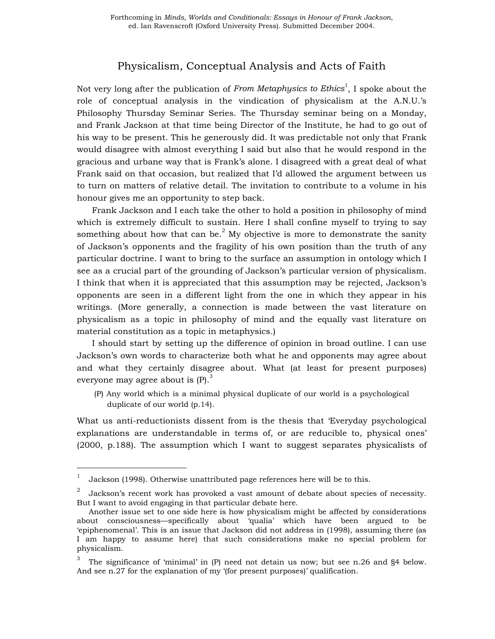## Physicalism, Conceptual Analysis and Acts of Faith

Not very long after the publication of *From Metaphysics to Ethics* $^1$ , I spoke about the role of conceptual analysis in the vindication of physicalism at the A.N.U.'s Philosophy Thursday Seminar Series. The Thursday seminar being on a Monday, and Frank Jackson at that time being Director of the Institute, he had to go out of his way to be present. This he generously did. It was predictable not only that Frank would disagree with almost everything I said but also that he would respond in the gracious and urbane way that is Frank's alone. I disagreed with a great deal of what Frank said on that occasion, but realized that I'd allowed the argument between us to turn on matters of relative detail. The invitation to contribute to a volume in his honour gives me an opportunity to step back.

Frank Jackson and I each take the other to hold a position in philosophy of mind which is extremely difficult to sustain. Here I shall confine myself to trying to say something about how that can be. $^2$  My objective is more to demonstrate the sanity of Jackson's opponents and the fragility of his own position than the truth of any particular doctrine. I want to bring to the surface an assumption in ontology which I see as a crucial part of the grounding of Jackson's particular version of physicalism. I think that when it is appreciated that this assumption may be rejected, Jackson's opponents are seen in a different light from the one in which they appear in his writings. (More generally, a connection is made between the vast literature on physicalism as a topic in philosophy of mind and the equally vast literature on material constitution as a topic in metaphysics.)

I should start by setting up the difference of opinion in broad outline. I can use Jackson's own words to characterize both what he and opponents may agree about and what they certainly disagree about. What (at least for present purposes) everyone may agree about is  $(P)$ .<sup>3</sup>

(P) Any world which is a minimal physical duplicate of our world is a psychological duplicate of our world (p.14).

What us anti-reductionists dissent from is the thesis that 'Everyday psychological explanations are understandable in terms of, or are reducible to, physical ones' (2000, p.188). The assumption which I want to suggest separates physicalists of

-

<sup>1</sup> Jackson (1998). Otherwise unattributed page references here will be to this.

<sup>2</sup> Jackson's recent work has provoked a vast amount of debate about species of necessity. But I want to avoid engaging in that particular debate here.

Another issue set to one side here is how physicalism might be affected by considerations about consciousness—specifically about 'qualia' which have been argued to be 'epiphenomenal'. This is an issue that Jackson did not address in (1998), assuming there (as I am happy to assume here) that such considerations make no special problem for physicalism.

<sup>3</sup> The significance of 'minimal' in (P) need not detain us now; but see n.26 and §4 below. And see n.27 for the explanation of my '(for present purposes)' qualification.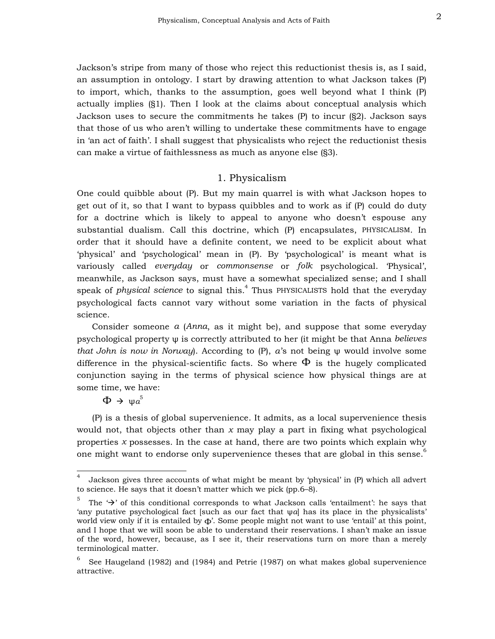Jackson's stripe from many of those who reject this reductionist thesis is, as I said, an assumption in ontology. I start by drawing attention to what Jackson takes (P) to import, which, thanks to the assumption, goes well beyond what I think (P) actually implies (§1). Then I look at the claims about conceptual analysis which Jackson uses to secure the commitments he takes  $(P)$  to incur  $(S2)$ . Jackson says that those of us who aren't willing to undertake these commitments have to engage in 'an act of faith'. I shall suggest that physicalists who reject the reductionist thesis can make a virtue of faithlessness as much as anyone else (§3).

### 1. Physicalism

One could quibble about (P). But my main quarrel is with what Jackson hopes to get out of it, so that I want to bypass quibbles and to work as if (P) could do duty for a doctrine which is likely to appeal to anyone who doesn't espouse any substantial dualism. Call this doctrine, which (P) encapsulates, PHYSICALISM. In order that it should have a definite content, we need to be explicit about what 'physical' and 'psychological' mean in (P). By 'psychological' is meant what is variously called everyday or commonsense or folk psychological. 'Physical', meanwhile, as Jackson says, must have a somewhat specialized sense; and I shall speak of *physical science* to signal this.<sup>4</sup> Thus PHYSICALISTS hold that the everyday psychological facts cannot vary without some variation in the facts of physical science.

Consider someone  $a$  (Anna, as it might be), and suppose that some everyday psychological property ψ is correctly attributed to her (it might be that Anna believes that John is now in Norway). According to  $(P)$ , a's not being  $\psi$  would involve some difference in the physical-scientific facts. So where  $\Phi$  is the hugely complicated conjunction saying in the terms of physical science how physical things are at some time, we have:

 $\Phi$  → ψα $^5$ 

 $\overline{\phantom{a}}$ 

(P) is a thesis of global supervenience. It admits, as a local supervenience thesis would not, that objects other than  $x$  may play a part in fixing what psychological properties  $x$  possesses. In the case at hand, there are two points which explain why one might want to endorse only supervenience theses that are global in this sense.<sup>6</sup>

<sup>4</sup> Jackson gives three accounts of what might be meant by 'physical' in (P) which all advert to science. He says that it doesn't matter which we pick (pp.6–8).

<sup>5</sup> The  $\rightarrow$  of this conditional corresponds to what Jackson calls 'entailment': he says that 'any putative psychological fact [such as our fact that  $\psi$ a] has its place in the physicalists' world view only if it is entailed by  $\Phi'$ . Some people might not want to use 'entail' at this point, and I hope that we will soon be able to understand their reservations. I shan't make an issue of the word, however, because, as I see it, their reservations turn on more than a merely terminological matter.

<sup>6</sup> See Haugeland (1982) and (1984) and Petrie (1987) on what makes global supervenience attractive.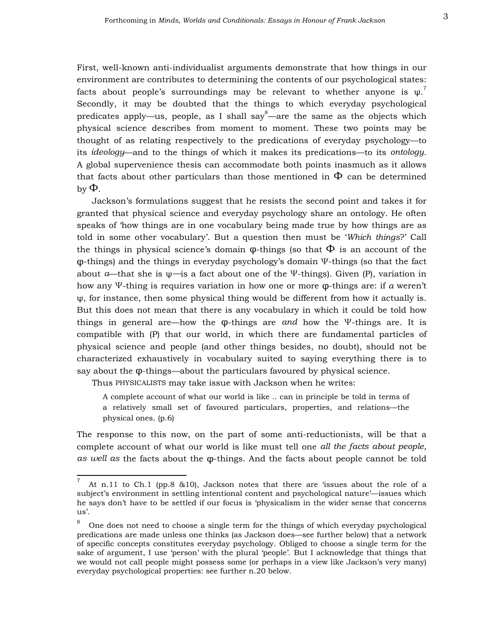First, well-known anti-individualist arguments demonstrate that how things in our environment are contributes to determining the contents of our psychological states: facts about people's surroundings may be relevant to whether anyone is  $\psi$ . Secondly, it may be doubted that the things to which everyday psychological predicates apply—us, people, as I shall say<sup>8</sup>—are the same as the objects which physical science describes from moment to moment. These two points may be thought of as relating respectively to the predications of everyday psychology—to its ideology—and to the things of which it makes its predications—to its ontology. A global supervenience thesis can accommodate both points inasmuch as it allows that facts about other particulars than those mentioned in  $\Phi$  can be determined by Ф.

Jackson's formulations suggest that he resists the second point and takes it for granted that physical science and everyday psychology share an ontology. He often speaks of 'how things are in one vocabulary being made true by how things are as told in some other vocabulary'. But a question then must be 'Which things?' Call the things in physical science's domain  $\phi$ -things (so that  $\Phi$  is an account of the φ-things) and the things in everyday psychology's domain Ψ-things (so that the fact about a—that she is  $\psi$ —is a fact about one of the Ψ-things). Given (P), variation in how any Ψ-thing is requires variation in how one or more φ-things are: if a weren't ψ, for instance, then some physical thing would be different from how it actually is. But this does not mean that there is any vocabulary in which it could be told how things in general are—how the  $\varphi$ -things are and how the Ψ-things are. It is compatible with (P) that our world, in which there are fundamental particles of physical science and people (and other things besides, no doubt), should not be characterized exhaustively in vocabulary suited to saying everything there is to say about the φ-things—about the particulars favoured by physical science.

Thus PHYSICALISTS may take issue with Jackson when he writes:

 $\overline{a}$ 

A complete account of what our world is like .. can in principle be told in terms of a relatively small set of favoured particulars, properties, and relations—the physical ones. (p.6)

The response to this now, on the part of some anti-reductionists, will be that a complete account of what our world is like must tell one all the facts about people, as well as the facts about the φ-things. And the facts about people cannot be told

<sup>7</sup> At n.11 to Ch.1 (pp.8 &10), Jackson notes that there are 'issues about the role of a subject's environment in settling intentional content and psychological nature'—issues which he says don't have to be settled if our focus is 'physicalism in the wider sense that concerns us'.

<sup>8</sup> One does not need to choose a single term for the things of which everyday psychological predications are made unless one thinks (as Jackson does—see further below) that a network of specific concepts constitutes everyday psychology. Obliged to choose a single term for the sake of argument, I use 'person' with the plural 'people'. But I acknowledge that things that we would not call people might possess some (or perhaps in a view like Jackson's very many) everyday psychological properties: see further n.20 below.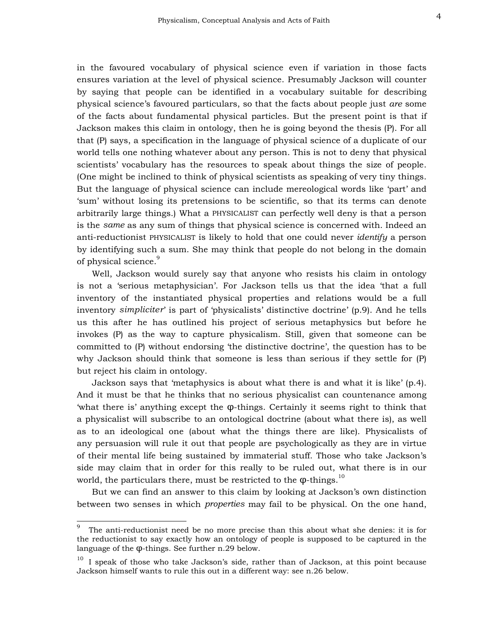in the favoured vocabulary of physical science even if variation in those facts ensures variation at the level of physical science. Presumably Jackson will counter by saying that people can be identified in a vocabulary suitable for describing physical science's favoured particulars, so that the facts about people just are some of the facts about fundamental physical particles. But the present point is that if Jackson makes this claim in ontology, then he is going beyond the thesis (P). For all that (P) says, a specification in the language of physical science of a duplicate of our world tells one nothing whatever about any person. This is not to deny that physical scientists' vocabulary has the resources to speak about things the size of people. (One might be inclined to think of physical scientists as speaking of very tiny things. But the language of physical science can include mereological words like 'part' and 'sum' without losing its pretensions to be scientific, so that its terms can denote arbitrarily large things.) What a PHYSICALIST can perfectly well deny is that a person is the same as any sum of things that physical science is concerned with. Indeed an anti-reductionist PHYSICALIST is likely to hold that one could never identify a person by identifying such a sum. She may think that people do not belong in the domain of physical science.<sup>9</sup>

Well, Jackson would surely say that anyone who resists his claim in ontology is not a 'serious metaphysician'. For Jackson tells us that the idea 'that a full inventory of the instantiated physical properties and relations would be a full inventory simpliciter' is part of 'physicalists' distinctive doctrine' (p.9). And he tells us this after he has outlined his project of serious metaphysics but before he invokes (P) as the way to capture physicalism. Still, given that someone can be committed to (P) without endorsing 'the distinctive doctrine', the question has to be why Jackson should think that someone is less than serious if they settle for (P) but reject his claim in ontology.

Jackson says that 'metaphysics is about what there is and what it is like' (p.4). And it must be that he thinks that no serious physicalist can countenance among 'what there is' anything except the φ-things. Certainly it seems right to think that a physicalist will subscribe to an ontological doctrine (about what there is), as well as to an ideological one (about what the things there are like). Physicalists of any persuasion will rule it out that people are psychologically as they are in virtue of their mental life being sustained by immaterial stuff. Those who take Jackson's side may claim that in order for this really to be ruled out, what there is in our world, the particulars there, must be restricted to the  $\phi$ -things.<sup>10</sup>

But we can find an answer to this claim by looking at Jackson's own distinction between two senses in which properties may fail to be physical. On the one hand,

 $\overline{a}$ 

<sup>9</sup> The anti-reductionist need be no more precise than this about what she denies: it is for the reductionist to say exactly how an ontology of people is supposed to be captured in the language of the φ-things. See further n.29 below.

 $10$  I speak of those who take Jackson's side, rather than of Jackson, at this point because Jackson himself wants to rule this out in a different way: see n.26 below.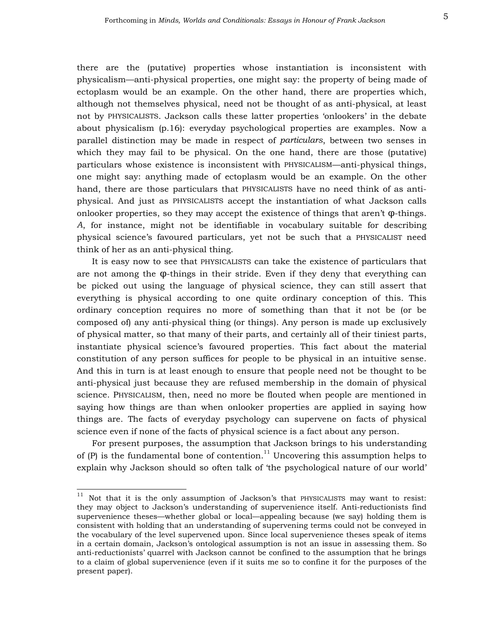there are the (putative) properties whose instantiation is inconsistent with physicalism—anti-physical properties, one might say: the property of being made of ectoplasm would be an example. On the other hand, there are properties which, although not themselves physical, need not be thought of as anti-physical, at least not by PHYSICALISTS. Jackson calls these latter properties 'onlookers' in the debate about physicalism (p.16): everyday psychological properties are examples. Now a parallel distinction may be made in respect of particulars, between two senses in which they may fail to be physical. On the one hand, there are those (putative) particulars whose existence is inconsistent with PHYSICALISM—anti-physical things, one might say: anything made of ectoplasm would be an example. On the other hand, there are those particulars that PHYSICALISTS have no need think of as antiphysical. And just as PHYSICALISTS accept the instantiation of what Jackson calls onlooker properties, so they may accept the existence of things that aren't  $\varphi$ -things. A, for instance, might not be identifiable in vocabulary suitable for describing physical science's favoured particulars, yet not be such that a PHYSICALIST need think of her as an anti-physical thing.

It is easy now to see that PHYSICALISTS can take the existence of particulars that are not among the  $\varphi$ -things in their stride. Even if they deny that everything can be picked out using the language of physical science, they can still assert that everything is physical according to one quite ordinary conception of this. This ordinary conception requires no more of something than that it not be (or be composed of) any anti-physical thing (or things). Any person is made up exclusively of physical matter, so that many of their parts, and certainly all of their tiniest parts, instantiate physical science's favoured properties. This fact about the material constitution of any person suffices for people to be physical in an intuitive sense. And this in turn is at least enough to ensure that people need not be thought to be anti-physical just because they are refused membership in the domain of physical science. PHYSICALISM, then, need no more be flouted when people are mentioned in saying how things are than when onlooker properties are applied in saying how things are. The facts of everyday psychology can supervene on facts of physical science even if none of the facts of physical science is a fact about any person.

For present purposes, the assumption that Jackson brings to his understanding of  $(P)$  is the fundamental bone of contention.<sup>11</sup> Uncovering this assumption helps to explain why Jackson should so often talk of 'the psychological nature of our world'

 $11$ Not that it is the only assumption of Jackson's that PHYSICALISTS may want to resist: they may object to Jackson's understanding of supervenience itself. Anti-reductionists find supervenience theses—whether global or local—appealing because (we say) holding them is consistent with holding that an understanding of supervening terms could not be conveyed in the vocabulary of the level supervened upon. Since local supervenience theses speak of items in a certain domain, Jackson's ontological assumption is not an issue in assessing them. So anti-reductionists' quarrel with Jackson cannot be confined to the assumption that he brings to a claim of global supervenience (even if it suits me so to confine it for the purposes of the present paper).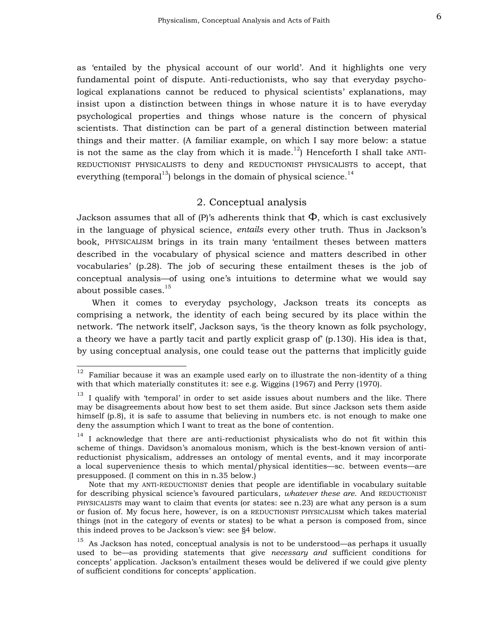as 'entailed by the physical account of our world'. And it highlights one very fundamental point of dispute. Anti-reductionists, who say that everyday psychological explanations cannot be reduced to physical scientists' explanations, may insist upon a distinction between things in whose nature it is to have everyday psychological properties and things whose nature is the concern of physical scientists. That distinction can be part of a general distinction between material things and their matter. (A familiar example, on which I say more below: a statue is not the same as the clay from which it is made.<sup>12</sup>) Henceforth I shall take ANTI-REDUCTIONIST PHYSICALISTS to deny and REDUCTIONIST PHYSICALISTS to accept, that everything (temporal<sup>13</sup>) belongs in the domain of physical science.<sup>14</sup>

#### 2. Conceptual analysis

Jackson assumes that all of (P)'s adherents think that  $\Phi$ , which is cast exclusively in the language of physical science, entails every other truth. Thus in Jackson's book, PHYSICALISM brings in its train many 'entailment theses between matters described in the vocabulary of physical science and matters described in other vocabularies' (p.28). The job of securing these entailment theses is the job of conceptual analysis—of using one's intuitions to determine what we would say about possible cases.<sup>15</sup>

When it comes to everyday psychology, Jackson treats its concepts as comprising a network, the identity of each being secured by its place within the network. 'The network itself', Jackson says, 'is the theory known as folk psychology, a theory we have a partly tacit and partly explicit grasp of' (p.130). His idea is that, by using conceptual analysis, one could tease out the patterns that implicitly guide

 $^{\rm 12}$ <sup>12</sup> Familiar because it was an example used early on to illustrate the non-identity of a thing with that which materially constitutes it: see e.g. Wiggins (1967) and Perry (1970).

 $13$  I qualify with 'temporal' in order to set aside issues about numbers and the like. There may be disagreements about how best to set them aside. But since Jackson sets them aside himself (p.8), it is safe to assume that believing in numbers etc. is not enough to make one deny the assumption which I want to treat as the bone of contention.

 $14$  I acknowledge that there are anti-reductionist physicalists who do not fit within this scheme of things. Davidson's anomalous monism, which is the best-known version of antireductionist physicalism, addresses an ontology of mental events, and it may incorporate a local supervenience thesis to which mental/physical identities—sc. between events—are presupposed. (I comment on this in n.35 below.)

Note that my ANTI-REDUCTIONIST denies that people are identifiable in vocabulary suitable for describing physical science's favoured particulars, whatever these are. And REDUCTIONIST PHYSICALISTS may want to claim that events (or states: see n.23) are what any person is a sum or fusion of. My focus here, however, is on a REDUCTIONIST PHYSICALISM which takes material things (not in the category of events or states) to be what a person is composed from, since this indeed proves to be Jackson's view: see §4 below.

 $15$  As Jackson has noted, conceptual analysis is not to be understood—as perhaps it usually used to be—as providing statements that give necessary and sufficient conditions for concepts' application. Jackson's entailment theses would be delivered if we could give plenty of sufficient conditions for concepts' application.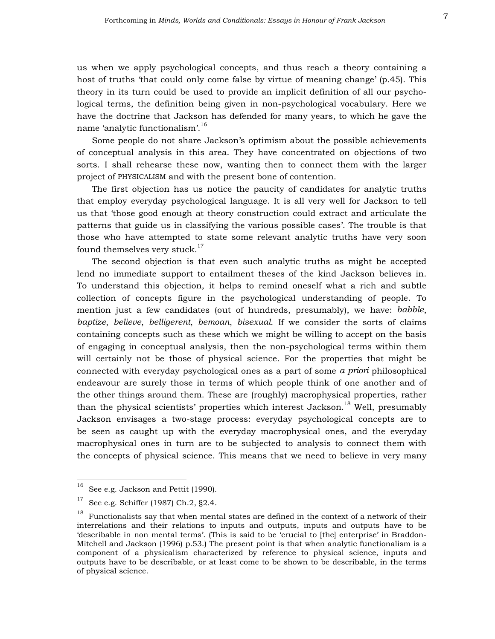us when we apply psychological concepts, and thus reach a theory containing a host of truths 'that could only come false by virtue of meaning change' (p.45). This theory in its turn could be used to provide an implicit definition of all our psychological terms, the definition being given in non-psychological vocabulary. Here we have the doctrine that Jackson has defended for many years, to which he gave the name 'analytic functionalism'.<sup>16</sup>

Some people do not share Jackson's optimism about the possible achievements of conceptual analysis in this area. They have concentrated on objections of two sorts. I shall rehearse these now, wanting then to connect them with the larger project of PHYSICALISM and with the present bone of contention.

The first objection has us notice the paucity of candidates for analytic truths that employ everyday psychological language. It is all very well for Jackson to tell us that 'those good enough at theory construction could extract and articulate the patterns that guide us in classifying the various possible cases'. The trouble is that those who have attempted to state some relevant analytic truths have very soon found themselves very stuck. $17$ 

The second objection is that even such analytic truths as might be accepted lend no immediate support to entailment theses of the kind Jackson believes in. To understand this objection, it helps to remind oneself what a rich and subtle collection of concepts figure in the psychological understanding of people. To mention just a few candidates (out of hundreds, presumably), we have: babble, baptize, believe, belligerent, bemoan, bisexual. If we consider the sorts of claims containing concepts such as these which we might be willing to accept on the basis of engaging in conceptual analysis, then the non-psychological terms within them will certainly not be those of physical science. For the properties that might be connected with everyday psychological ones as a part of some a priori philosophical endeavour are surely those in terms of which people think of one another and of the other things around them. These are (roughly) macrophysical properties, rather than the physical scientists' properties which interest Jackson.<sup>18</sup> Well, presumably Jackson envisages a two-stage process: everyday psychological concepts are to be seen as caught up with the everyday macrophysical ones, and the everyday macrophysical ones in turn are to be subjected to analysis to connect them with the concepts of physical science. This means that we need to believe in very many

 $\overline{a}$ 

 $16$  See e.g. Jackson and Pettit (1990).

See e.g. Schiffer (1987) Ch.2, §2.4.

 $18$  Functionalists say that when mental states are defined in the context of a network of their interrelations and their relations to inputs and outputs, inputs and outputs have to be 'describable in non mental terms'. (This is said to be 'crucial to [the] enterprise' in Braddon-Mitchell and Jackson (1996) p.53.) The present point is that when analytic functionalism is a component of a physicalism characterized by reference to physical science, inputs and outputs have to be describable, or at least come to be shown to be describable, in the terms of physical science.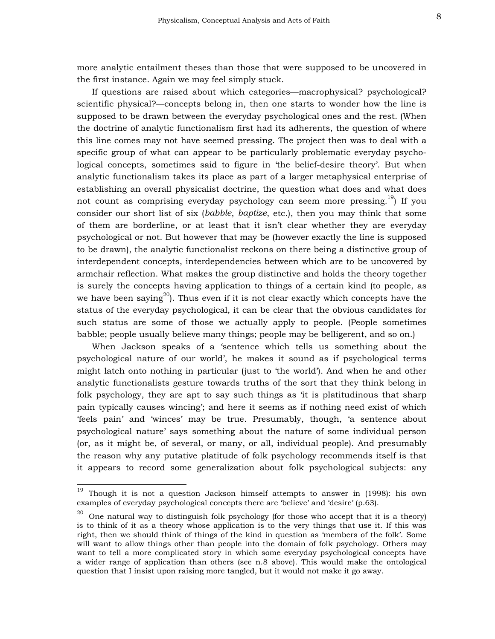more analytic entailment theses than those that were supposed to be uncovered in the first instance. Again we may feel simply stuck.

If questions are raised about which categories—macrophysical? psychological? scientific physical?—concepts belong in, then one starts to wonder how the line is supposed to be drawn between the everyday psychological ones and the rest. (When the doctrine of analytic functionalism first had its adherents, the question of where this line comes may not have seemed pressing. The project then was to deal with a specific group of what can appear to be particularly problematic everyday psychological concepts, sometimes said to figure in 'the belief-desire theory'. But when analytic functionalism takes its place as part of a larger metaphysical enterprise of establishing an overall physicalist doctrine, the question what does and what does not count as comprising everyday psychology can seem more pressing.<sup>19</sup>) If you consider our short list of six (babble, baptize, etc.), then you may think that some of them are borderline, or at least that it isn't clear whether they are everyday psychological or not. But however that may be (however exactly the line is supposed to be drawn), the analytic functionalist reckons on there being a distinctive group of interdependent concepts, interdependencies between which are to be uncovered by armchair reflection. What makes the group distinctive and holds the theory together is surely the concepts having application to things of a certain kind (to people, as we have been saying<sup>20</sup>). Thus even if it is not clear exactly which concepts have the status of the everyday psychological, it can be clear that the obvious candidates for such status are some of those we actually apply to people. (People sometimes babble; people usually believe many things; people may be belligerent, and so on.)

When Jackson speaks of a 'sentence which tells us something about the psychological nature of our world', he makes it sound as if psychological terms might latch onto nothing in particular (just to 'the world'). And when he and other analytic functionalists gesture towards truths of the sort that they think belong in folk psychology, they are apt to say such things as 'it is platitudinous that sharp pain typically causes wincing'; and here it seems as if nothing need exist of which 'feels pain' and 'winces' may be true. Presumably, though, 'a sentence about psychological nature' says something about the nature of some individual person (or, as it might be, of several, or many, or all, individual people). And presumably the reason why any putative platitude of folk psychology recommends itself is that it appears to record some generalization about folk psychological subjects: any

<sup>19</sup> <sup>19</sup> Though it is not a question Jackson himself attempts to answer in (1998): his own examples of everyday psychological concepts there are 'believe' and 'desire' (p.63).

 $20$  One natural way to distinguish folk psychology (for those who accept that it is a theory) is to think of it as a theory whose application is to the very things that use it. If this was right, then we should think of things of the kind in question as 'members of the folk'. Some will want to allow things other than people into the domain of folk psychology. Others may want to tell a more complicated story in which some everyday psychological concepts have a wider range of application than others (see n.8 above). This would make the ontological question that I insist upon raising more tangled, but it would not make it go away.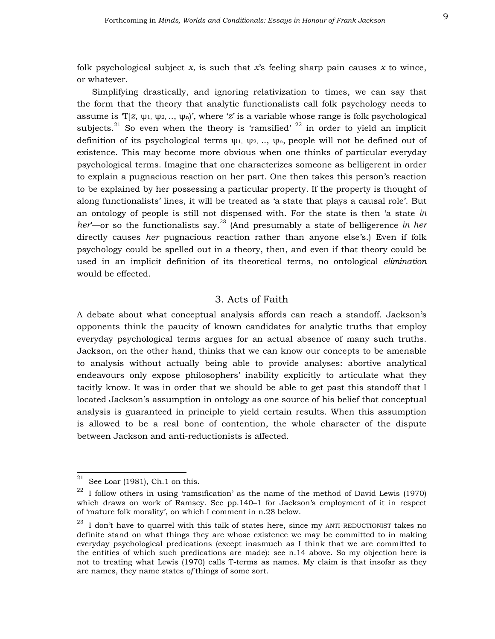folk psychological subject x, is such that x's feeling sharp pain causes x to wince, or whatever.

Simplifying drastically, and ignoring relativization to times, we can say that the form that the theory that analytic functionalists call folk psychology needs to assume is  $T[z, \psi_1, \psi_2, \ldots, \psi_n]$ , where 'z' is a variable whose range is folk psychological subjects.<sup>21</sup> So even when the theory is 'ramsified'  $^{22}$  in order to yield an implicit definition of its psychological terms  $\psi_1$ ,  $\psi_2$ , ...,  $\psi_n$ , people will not be defined out of existence. This may become more obvious when one thinks of particular everyday psychological terms. Imagine that one characterizes someone as belligerent in order to explain a pugnacious reaction on her part. One then takes this person's reaction to be explained by her possessing a particular property. If the property is thought of along functionalists' lines, it will be treated as 'a state that plays a causal role'. But an ontology of people is still not dispensed with. For the state is then 'a state in her'—or so the functionalists say.<sup>23</sup> (And presumably a state of belligerence in her directly causes her pugnacious reaction rather than anyone else's.) Even if folk psychology could be spelled out in a theory, then, and even if that theory could be used in an implicit definition of its theoretical terms, no ontological elimination would be effected.

### 3. Acts of Faith

A debate about what conceptual analysis affords can reach a standoff. Jackson's opponents think the paucity of known candidates for analytic truths that employ everyday psychological terms argues for an actual absence of many such truths. Jackson, on the other hand, thinks that we can know our concepts to be amenable to analysis without actually being able to provide analyses: abortive analytical endeavours only expose philosophers' inability explicitly to articulate what they tacitly know. It was in order that we should be able to get past this standoff that I located Jackson's assumption in ontology as one source of his belief that conceptual analysis is guaranteed in principle to yield certain results. When this assumption is allowed to be a real bone of contention, the whole character of the dispute between Jackson and anti-reductionists is affected.

 $21\,$ See Loar (1981), Ch.1 on this.

 $22$  I follow others in using 'ramsification' as the name of the method of David Lewis (1970) which draws on work of Ramsey. See pp.140–1 for Jackson's employment of it in respect of 'mature folk morality', on which I comment in n.28 below.

 $^{23}$  I don't have to quarrel with this talk of states here, since my ANTI-REDUCTIONIST takes no definite stand on what things they are whose existence we may be committed to in making everyday psychological predications (except inasmuch as I think that we are committed to the entities of which such predications are made): see n.14 above. So my objection here is not to treating what Lewis (1970) calls T-terms as names. My claim is that insofar as they are names, they name states of things of some sort.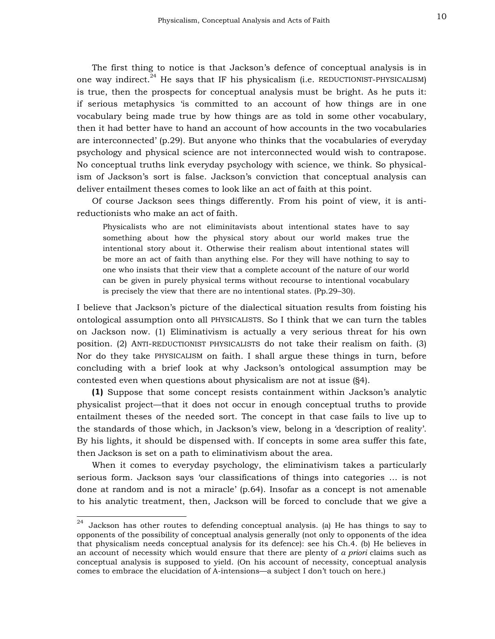The first thing to notice is that Jackson's defence of conceptual analysis is in one way indirect.<sup>24</sup> He says that IF his physicalism (i.e. REDUCTIONIST-PHYSICALISM) is true, then the prospects for conceptual analysis must be bright. As he puts it: if serious metaphysics 'is committed to an account of how things are in one vocabulary being made true by how things are as told in some other vocabulary, then it had better have to hand an account of how accounts in the two vocabularies are interconnected' (p.29). But anyone who thinks that the vocabularies of everyday psychology and physical science are not interconnected would wish to contrapose. No conceptual truths link everyday psychology with science, we think. So physicalism of Jackson's sort is false. Jackson's conviction that conceptual analysis can deliver entailment theses comes to look like an act of faith at this point.

Of course Jackson sees things differently. From his point of view, it is antireductionists who make an act of faith.

Physicalists who are not eliminitavists about intentional states have to say something about how the physical story about our world makes true the intentional story about it. Otherwise their realism about intentional states will be more an act of faith than anything else. For they will have nothing to say to one who insists that their view that a complete account of the nature of our world can be given in purely physical terms without recourse to intentional vocabulary is precisely the view that there are no intentional states. (Pp.29–30).

I believe that Jackson's picture of the dialectical situation results from foisting his ontological assumption onto all PHYSICALISTS. So I think that we can turn the tables on Jackson now. (1) Eliminativism is actually a very serious threat for his own position. (2) ANTI-REDUCTIONIST PHYSICALISTS do not take their realism on faith. (3) Nor do they take PHYSICALISM on faith. I shall argue these things in turn, before concluding with a brief look at why Jackson's ontological assumption may be contested even when questions about physicalism are not at issue (§4).

(1) Suppose that some concept resists containment within Jackson's analytic physicalist project—that it does not occur in enough conceptual truths to provide entailment theses of the needed sort. The concept in that case fails to live up to the standards of those which, in Jackson's view, belong in a 'description of reality'. By his lights, it should be dispensed with. If concepts in some area suffer this fate, then Jackson is set on a path to eliminativism about the area.

When it comes to everyday psychology, the eliminativism takes a particularly serious form. Jackson says 'our classifications of things into categories … is not done at random and is not a miracle' (p.64). Insofar as a concept is not amenable to his analytic treatment, then, Jackson will be forced to conclude that we give a

 $24\,$ Jackson has other routes to defending conceptual analysis. (a) He has things to say to opponents of the possibility of conceptual analysis generally (not only to opponents of the idea that physicalism needs conceptual analysis for its defence): see his Ch.4. (b) He believes in an account of necessity which would ensure that there are plenty of a priori claims such as conceptual analysis is supposed to yield. (On his account of necessity, conceptual analysis comes to embrace the elucidation of A-intensions—a subject I don't touch on here.)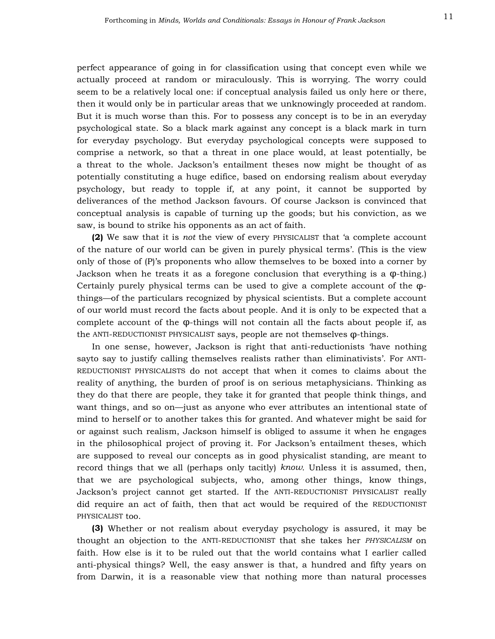perfect appearance of going in for classification using that concept even while we actually proceed at random or miraculously. This is worrying. The worry could seem to be a relatively local one: if conceptual analysis failed us only here or there, then it would only be in particular areas that we unknowingly proceeded at random. But it is much worse than this. For to possess any concept is to be in an everyday psychological state. So a black mark against any concept is a black mark in turn for everyday psychology. But everyday psychological concepts were supposed to comprise a network, so that a threat in one place would, at least potentially, be a threat to the whole. Jackson's entailment theses now might be thought of as potentially constituting a huge edifice, based on endorsing realism about everyday psychology, but ready to topple if, at any point, it cannot be supported by deliverances of the method Jackson favours. Of course Jackson is convinced that conceptual analysis is capable of turning up the goods; but his conviction, as we saw, is bound to strike his opponents as an act of faith.

(2) We saw that it is not the view of every PHYSICALIST that 'a complete account of the nature of our world can be given in purely physical terms'. (This is the view only of those of (P)'s proponents who allow themselves to be boxed into a corner by Jackson when he treats it as a foregone conclusion that everything is a  $\varphi$ -thing.) Certainly purely physical terms can be used to give a complete account of the φthings—of the particulars recognized by physical scientists. But a complete account of our world must record the facts about people. And it is only to be expected that a complete account of the φ-things will not contain all the facts about people if, as the ANTI-REDUCTIONIST PHYSICALIST says, people are not themselves φ-things.

In one sense, however, Jackson is right that anti-reductionists 'have nothing sayto say to justify calling themselves realists rather than eliminativists'. For ANTI-REDUCTIONIST PHYSICALISTS do not accept that when it comes to claims about the reality of anything, the burden of proof is on serious metaphysicians. Thinking as they do that there are people, they take it for granted that people think things, and want things, and so on—just as anyone who ever attributes an intentional state of mind to herself or to another takes this for granted. And whatever might be said for or against such realism, Jackson himself is obliged to assume it when he engages in the philosophical project of proving it. For Jackson's entailment theses, which are supposed to reveal our concepts as in good physicalist standing, are meant to record things that we all (perhaps only tacitly) know. Unless it is assumed, then, that we are psychological subjects, who, among other things, know things, Jackson's project cannot get started. If the ANTI-REDUCTIONIST PHYSICALIST really did require an act of faith, then that act would be required of the REDUCTIONIST PHYSICALIST too.

(3) Whether or not realism about everyday psychology is assured, it may be thought an objection to the ANTI-REDUCTIONIST that she takes her PHYSICALISM on faith. How else is it to be ruled out that the world contains what I earlier called anti-physical things? Well, the easy answer is that, a hundred and fifty years on from Darwin, it is a reasonable view that nothing more than natural processes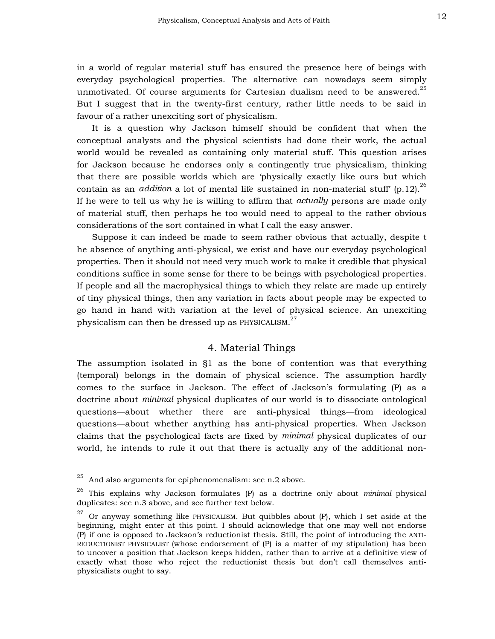in a world of regular material stuff has ensured the presence here of beings with everyday psychological properties. The alternative can nowadays seem simply unmotivated. Of course arguments for Cartesian dualism need to be answered. $^{25}$ But I suggest that in the twenty-first century, rather little needs to be said in favour of a rather unexciting sort of physicalism.

It is a question why Jackson himself should be confident that when the conceptual analysts and the physical scientists had done their work, the actual world would be revealed as containing only material stuff. This question arises for Jackson because he endorses only a contingently true physicalism, thinking that there are possible worlds which are 'physically exactly like ours but which contain as an *addition* a lot of mental life sustained in non-material stuff' (p.12).<sup>26</sup> If he were to tell us why he is willing to affirm that actually persons are made only of material stuff, then perhaps he too would need to appeal to the rather obvious considerations of the sort contained in what I call the easy answer.

Suppose it can indeed be made to seem rather obvious that actually, despite t he absence of anything anti-physical, we exist and have our everyday psychological properties. Then it should not need very much work to make it credible that physical conditions suffice in some sense for there to be beings with psychological properties. If people and all the macrophysical things to which they relate are made up entirely of tiny physical things, then any variation in facts about people may be expected to go hand in hand with variation at the level of physical science. An unexciting physicalism can then be dressed up as <code>PHYSICALISM. $^{27}$ </code>

#### 4. Material Things

The assumption isolated in §1 as the bone of contention was that everything (temporal) belongs in the domain of physical science. The assumption hardly comes to the surface in Jackson. The effect of Jackson's formulating (P) as a doctrine about minimal physical duplicates of our world is to dissociate ontological questions—about whether there are anti-physical things—from ideological questions—about whether anything has anti-physical properties. When Jackson claims that the psychological facts are fixed by minimal physical duplicates of our world, he intends to rule it out that there is actually any of the additional non-

 $\overline{a}$ 

 $^{25}$  And also arguments for epiphenomenalism: see n.2 above.

 $26$  This explains why Jackson formulates (P) as a doctrine only about *minimal* physical duplicates: see n.3 above, and see further text below.

 $27$  Or anyway something like PHYSICALISM. But quibbles about (P), which I set aside at the beginning, might enter at this point. I should acknowledge that one may well not endorse (P) if one is opposed to Jackson's reductionist thesis. Still, the point of introducing the ANTI-REDUCTIONIST PHYSICALIST (whose endorsement of (P) is a matter of my stipulation) has been to uncover a position that Jackson keeps hidden, rather than to arrive at a definitive view of exactly what those who reject the reductionist thesis but don't call themselves antiphysicalists ought to say.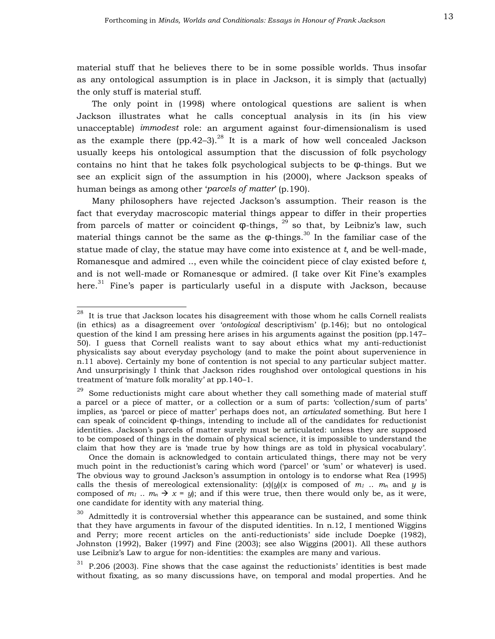material stuff that he believes there to be in some possible worlds. Thus insofar as any ontological assumption is in place in Jackson, it is simply that (actually) the only stuff is material stuff.

The only point in (1998) where ontological questions are salient is when Jackson illustrates what he calls conceptual analysis in its (in his view unacceptable) immodest role: an argument against four-dimensionalism is used as the example there  $(pp.42-3).^{28}$  It is a mark of how well concealed Jackson usually keeps his ontological assumption that the discussion of folk psychology contains no hint that he takes folk psychological subjects to be φ-things. But we see an explicit sign of the assumption in his (2000), where Jackson speaks of human beings as among other 'parcels of matter' (p.190).

Many philosophers have rejected Jackson's assumption. Their reason is the fact that everyday macroscopic material things appear to differ in their properties from parcels of matter or coincident  $\varphi$ -things,  $^{29}$  so that, by Leibniz's law, such material things cannot be the same as the  $\phi$ -things.<sup>30</sup> In the familiar case of the statue made of clay, the statue may have come into existence at  $t$ , and be well-made, Romanesque and admired .., even while the coincident piece of clay existed before t, and is not well-made or Romanesque or admired. (I take over Kit Fine's examples here.<sup>31</sup> Fine's paper is particularly useful in a dispute with Jackson, because

 $\overline{a}$  $^{28}$  It is true that Jackson locates his disagreement with those whom he calls Cornell realists (in ethics) as a disagreement over 'ontological descriptivism' (p.146); but no ontological question of the kind I am pressing here arises in his arguments against the position (pp.147– 50). I guess that Cornell realists want to say about ethics what my anti-reductionist physicalists say about everyday psychology (and to make the point about supervenience in n.11 above). Certainly my bone of contention is not special to any particular subject matter. And unsurprisingly I think that Jackson rides roughshod over ontological questions in his treatment of 'mature folk morality' at pp.140–1.

 $29$  Some reductionists might care about whether they call something made of material stuff a parcel or a piece of matter, or a collection or a sum of parts: 'collection/sum of parts' implies, as 'parcel or piece of matter' perhaps does not, an articulated something. But here I can speak of coincident  $\varphi$ -things, intending to include all of the candidates for reductionist identities. Jackson's parcels of matter surely must be articulated: unless they are supposed to be composed of things in the domain of physical science, it is impossible to understand the claim that how they are is 'made true by how things are as told in physical vocabulary'.

Once the domain is acknowledged to contain articulated things, there may not be very much point in the reductionist's caring which word ('parcel' or 'sum' or whatever) is used. The obvious way to ground Jackson's assumption in ontology is to endorse what Rea (1995) calls the thesis of mereological extensionality:  $(x)(y)(x)$  is composed of  $m_1$ ...  $m_n$  and y is composed of  $m_1 \dots m_n \rightarrow x = y$ ; and if this were true, then there would only be, as it were, one candidate for identity with any material thing.

 $30$  Admittedly it is controversial whether this appearance can be sustained, and some think that they have arguments in favour of the disputed identities. In n.12, I mentioned Wiggins and Perry; more recent articles on the anti-reductionists' side include Doepke (1982), Johnston (1992), Baker (1997) and Fine (2003); see also Wiggins (2001). All these authors use Leibniz's Law to argue for non-identities: the examples are many and various.

 $31$  P.206 (2003). Fine shows that the case against the reductionists' identities is best made without fixating, as so many discussions have, on temporal and modal properties. And he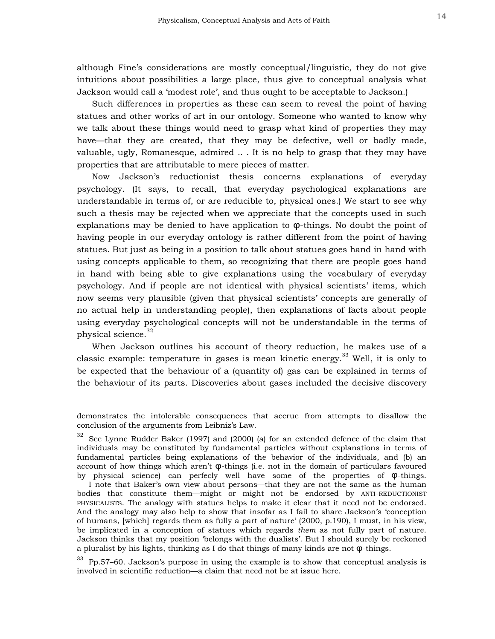although Fine's considerations are mostly conceptual/linguistic, they do not give intuitions about possibilities a large place, thus give to conceptual analysis what Jackson would call a 'modest role', and thus ought to be acceptable to Jackson.)

Such differences in properties as these can seem to reveal the point of having statues and other works of art in our ontology. Someone who wanted to know why we talk about these things would need to grasp what kind of properties they may have—that they are created, that they may be defective, well or badly made, valuable, ugly, Romanesque, admired .. . It is no help to grasp that they may have properties that are attributable to mere pieces of matter.

Now Jackson's reductionist thesis concerns explanations of everyday psychology. (It says, to recall, that everyday psychological explanations are understandable in terms of, or are reducible to, physical ones.) We start to see why such a thesis may be rejected when we appreciate that the concepts used in such explanations may be denied to have application to φ-things. No doubt the point of having people in our everyday ontology is rather different from the point of having statues. But just as being in a position to talk about statues goes hand in hand with using concepts applicable to them, so recognizing that there are people goes hand in hand with being able to give explanations using the vocabulary of everyday psychology. And if people are not identical with physical scientists' items, which now seems very plausible (given that physical scientists' concepts are generally of no actual help in understanding people), then explanations of facts about people using everyday psychological concepts will not be understandable in the terms of physical science.<sup>32</sup>

When Jackson outlines his account of theory reduction, he makes use of a classic example: temperature in gases is mean kinetic energy.<sup>33</sup> Well, it is only to be expected that the behaviour of a (quantity of) gas can be explained in terms of the behaviour of its parts. Discoveries about gases included the decisive discovery

-

demonstrates the intolerable consequences that accrue from attempts to disallow the conclusion of the arguments from Leibniz's Law.

 $32$  See Lynne Rudder Baker (1997) and (2000) (a) for an extended defence of the claim that individuals may be constituted by fundamental particles without explanations in terms of fundamental particles being explanations of the behavior of the individuals, and (b) an account of how things which aren't φ-things (i.e. not in the domain of particulars favoured by physical science) can perfecly well have some of the properties of φ-things.

I note that Baker's own view about persons—that they are not the same as the human bodies that constitute them—might or might not be endorsed by ANTI-REDUCTIONIST PHYSICALISTS. The analogy with statues helps to make it clear that it need not be endorsed. And the analogy may also help to show that insofar as I fail to share Jackson's 'conception of humans, [which] regards them as fully a part of nature' (2000, p.190), I must, in his view, be implicated in a conception of statues which regards them as not fully part of nature. Jackson thinks that my position 'belongs with the dualists'. But I should surely be reckoned a pluralist by his lights, thinking as I do that things of many kinds are not φ-things.

 $33$  Pp.57–60. Jackson's purpose in using the example is to show that conceptual analysis is involved in scientific reduction—a claim that need not be at issue here.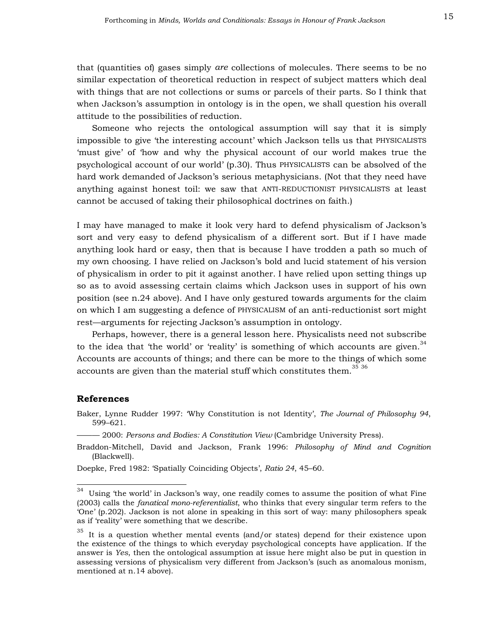that (quantities of) gases simply are collections of molecules. There seems to be no similar expectation of theoretical reduction in respect of subject matters which deal with things that are not collections or sums or parcels of their parts. So I think that when Jackson's assumption in ontology is in the open, we shall question his overall attitude to the possibilities of reduction.

Someone who rejects the ontological assumption will say that it is simply impossible to give 'the interesting account' which Jackson tells us that PHYSICALISTS 'must give' of 'how and why the physical account of our world makes true the psychological account of our world' (p.30). Thus PHYSICALISTS can be absolved of the hard work demanded of Jackson's serious metaphysicians. (Not that they need have anything against honest toil: we saw that ANTI-REDUCTIONIST PHYSICALISTS at least cannot be accused of taking their philosophical doctrines on faith.)

I may have managed to make it look very hard to defend physicalism of Jackson's sort and very easy to defend physicalism of a different sort. But if I have made anything look hard or easy, then that is because I have trodden a path so much of my own choosing. I have relied on Jackson's bold and lucid statement of his version of physicalism in order to pit it against another. I have relied upon setting things up so as to avoid assessing certain claims which Jackson uses in support of his own position (see n.24 above). And I have only gestured towards arguments for the claim on which I am suggesting a defence of PHYSICALISM of an anti-reductionist sort might rest—arguments for rejecting Jackson's assumption in ontology.

Perhaps, however, there is a general lesson here. Physicalists need not subscribe to the idea that 'the world' or 'reality' is something of which accounts are given. $34$ Accounts are accounts of things; and there can be more to the things of which some accounts are given than the material stuff which constitutes them.<sup>35 36</sup>

#### References

 $\overline{a}$ 

Baker, Lynne Rudder 1997: 'Why Constitution is not Identity', The Journal of Philosophy 94, 599–621.

- 2000: Persons and Bodies: A Constitution View (Cambridge University Press).

Braddon-Mitchell, David and Jackson, Frank 1996: Philosophy of Mind and Cognition (Blackwell).

Doepke, Fred 1982: 'Spatially Coinciding Objects', Ratio 24, 45–60.

 $34$  Using 'the world' in Jackson's way, one readily comes to assume the position of what Fine (2003) calls the fanatical mono-referentialist, who thinks that every singular term refers to the 'One' (p.202). Jackson is not alone in speaking in this sort of way: many philosophers speak as if 'reality' were something that we describe.

 $35$  It is a question whether mental events (and/or states) depend for their existence upon the existence of the things to which everyday psychological concepts have application. If the answer is Yes, then the ontological assumption at issue here might also be put in question in assessing versions of physicalism very different from Jackson's (such as anomalous monism, mentioned at n.14 above).